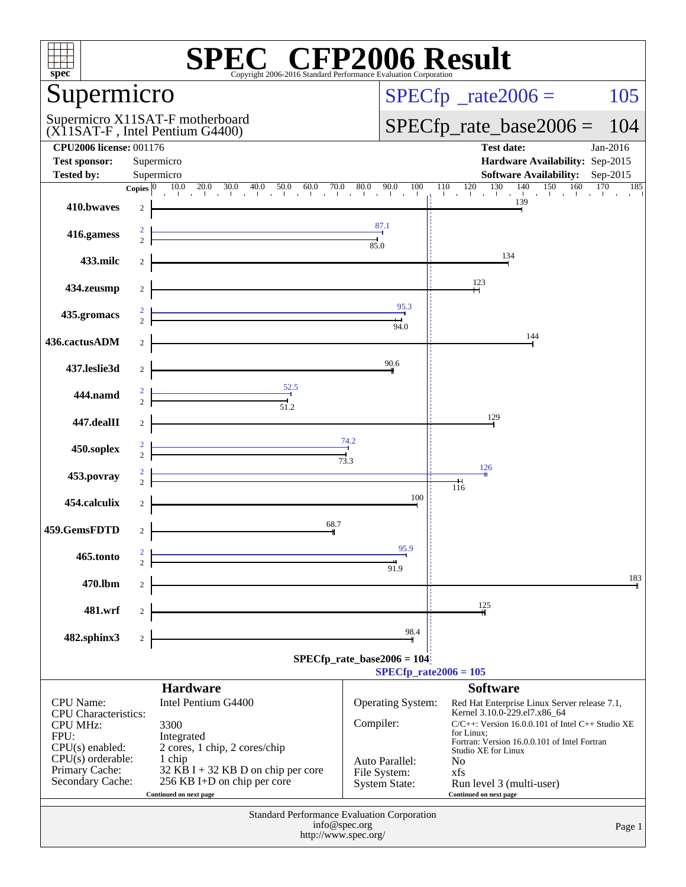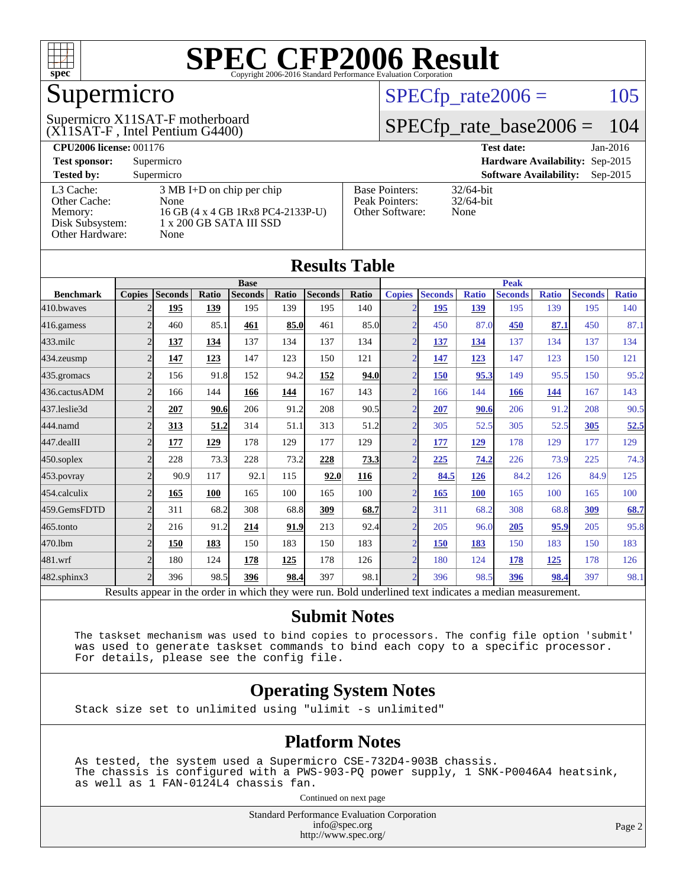

## Supermicro

(X11SAT-F , Intel Pentium G4400) Supermicro X11SAT-F motherboard  $SPECTp_rate2006 = 105$ 

### [SPECfp\\_rate\\_base2006 =](http://www.spec.org/auto/cpu2006/Docs/result-fields.html#SPECfpratebase2006) 104

| <b>CPU2006 license: 001176</b> |                                     |                       | <b>Test date:</b><br>$Jan-2016$             |  |  |  |  |
|--------------------------------|-------------------------------------|-----------------------|---------------------------------------------|--|--|--|--|
| <b>Test sponsor:</b>           | Supermicro                          |                       | Hardware Availability: Sep-2015             |  |  |  |  |
| <b>Tested by:</b>              | Supermicro                          |                       | <b>Software Availability:</b><br>$Sep-2015$ |  |  |  |  |
| L3 Cache:                      | $3 \text{ MB I+D}$ on chip per chip | <b>Base Pointers:</b> | $32/64$ -bit                                |  |  |  |  |
| Other Cache:                   | None                                | Peak Pointers:        | $32/64$ -bit                                |  |  |  |  |
| Memory:                        | 16 GB (4 x 4 GB 1Rx8 PC4-2133P-U)   | Other Software:       | None                                        |  |  |  |  |
| Disk Subsystem:                | 1 x 200 GB SATA III SSD             |                       |                                             |  |  |  |  |
| Other Hardware:                | None                                |                       |                                             |  |  |  |  |

**[Results Table](http://www.spec.org/auto/cpu2006/Docs/result-fields.html#ResultsTable)**

|                   |                          |                                                                                                          |       |                |       | Results Table  |              |                          |                |              |                |              |                |              |
|-------------------|--------------------------|----------------------------------------------------------------------------------------------------------|-------|----------------|-------|----------------|--------------|--------------------------|----------------|--------------|----------------|--------------|----------------|--------------|
|                   |                          |                                                                                                          |       | <b>Base</b>    |       |                |              | <b>Peak</b>              |                |              |                |              |                |              |
| <b>Benchmark</b>  | <b>Copies</b>            | <b>Seconds</b>                                                                                           | Ratio | <b>Seconds</b> | Ratio | <b>Seconds</b> | <b>Ratio</b> | <b>Copies</b>            | <b>Seconds</b> | <b>Ratio</b> | <b>Seconds</b> | <b>Ratio</b> | <b>Seconds</b> | <b>Ratio</b> |
| 410.bwaves        | $\overline{2}$           | 195                                                                                                      | 139   | 195            | 139   | 195            | 140          |                          | 195            | 139          | 195            | 139          | 195            | 140          |
| 416.gamess        | $\overline{2}$           | 460                                                                                                      | 85.1  | 461            | 85.0  | 461            | 85.0         | $\overline{\mathcal{L}}$ | 450            | 87.0         | 450            | 87.1         | 450            | 87.1         |
| $433$ .milc       | $\overline{2}$           | 137                                                                                                      | 134   | 137            | 134   | 137            | 134          | $\overline{2}$           | <u>137</u>     | 134          | 137            | 134          | 137            | 134          |
| 434.zeusmp        | $\overline{2}$           | 147                                                                                                      | 123   | 147            | 123   | 150            | 121          | $\overline{\mathcal{L}}$ | 147            | 123          | 147            | 123          | 150            | 121          |
| 435 gromacs       | $\overline{2}$           | 156                                                                                                      | 91.8  | 152            | 94.2  | 152            | 94.0         | $\overline{ }$           | 150            | 95.3         | 149            | 95.5         | 150            | 95.2         |
| 436.cactusADM     | $\overline{2}$           | 166                                                                                                      | 144   | 166            | 144   | 167            | 143          | $\overline{2}$           | 166            | 144          | 166            | 144          | 167            | 143          |
| 437.leslie3d      | $\overline{2}$           | 207                                                                                                      | 90.6  | 206            | 91.2  | 208            | 90.5         | $\overline{2}$           | 207            | 90.6         | 206            | 91.2         | 208            | 90.5         |
| 444.namd          | $\overline{2}$           | 313                                                                                                      | 51.2  | 314            | 51.1  | 313            | 51.2         | $\mathcal{L}$            | 305            | 52.5         | 305            | 52.5         | 305            | 52.5         |
| 447.dealII        | $\overline{2}$           | <b>177</b>                                                                                               | 129   | 178            | 129   | 177            | 129          | $\overline{2}$           | 177            | 129          | 178            | 129          | 177            | 129          |
| 450.soplex        | $\overline{2}$           | 228                                                                                                      | 73.3  | 228            | 73.2  | 228            | <u>73.3</u>  | $\overline{2}$           | 225            | 74.2         | 226            | 73.9         | 225            | 74.3         |
| 453.povray        | $\overline{\mathcal{L}}$ | 90.9                                                                                                     | 117   | 92.1           | 115   | 92.0           | 116          | $\overline{2}$           | 84.5           | 126          | 84.2           | 126          | 84.9           | 125          |
| 454.calculix      | $\overline{2}$           | 165                                                                                                      | 100   | 165            | 100   | 165            | 100          | $\overline{2}$           | 165            | 100          | 165            | 100          | 165            | 100          |
| 459.GemsFDTD      | $\overline{2}$           | 311                                                                                                      | 68.2  | 308            | 68.8  | 309            | 68.7         | っ                        | 311            | 68.2         | 308            | 68.8         | 309            | 68.7         |
| 465.tonto         | $\overline{\mathcal{L}}$ | 216                                                                                                      | 91.2  | 214            | 91.9  | 213            | 92.4         | $\gamma$                 | 205            | 96.0         | 205            | 95.9         | 205            | 95.8         |
| 470.1bm           | $\overline{2}$           | 150                                                                                                      | 183   | 150            | 183   | 150            | 183          | $\overline{\mathcal{L}}$ | 150            | 183          | 150            | 183          | 150            | 183          |
| 481.wrf           | $\overline{2}$           | 180                                                                                                      | 124   | 178            | 125   | 178            | 126          | $\mathfrak{D}$           | 180            | 124          | 178            | 125          | 178            | 126          |
| $482$ .sphinx $3$ | $\overline{2}$           | 396                                                                                                      | 98.5  | 396            | 98.4  | 397            | 98.1         | $\mathcal{D}$            | 396            | 98.5         | 396            | 98.4         | 397            | 98.1         |
|                   |                          | Results appear in the order in which they were run. Bold underlined text indicates a median measurement. |       |                |       |                |              |                          |                |              |                |              |                |              |

#### **[Submit Notes](http://www.spec.org/auto/cpu2006/Docs/result-fields.html#SubmitNotes)**

 The taskset mechanism was used to bind copies to processors. The config file option 'submit' was used to generate taskset commands to bind each copy to a specific processor. For details, please see the config file.

### **[Operating System Notes](http://www.spec.org/auto/cpu2006/Docs/result-fields.html#OperatingSystemNotes)**

Stack size set to unlimited using "ulimit -s unlimited"

#### **[Platform Notes](http://www.spec.org/auto/cpu2006/Docs/result-fields.html#PlatformNotes)**

 As tested, the system used a Supermicro CSE-732D4-903B chassis. The chassis is configured with a PWS-903-PQ power supply, 1 SNK-P0046A4 heatsink, as well as 1 FAN-0124L4 chassis fan.

Continued on next page

Standard Performance Evaluation Corporation [info@spec.org](mailto:info@spec.org) <http://www.spec.org/>

Page 2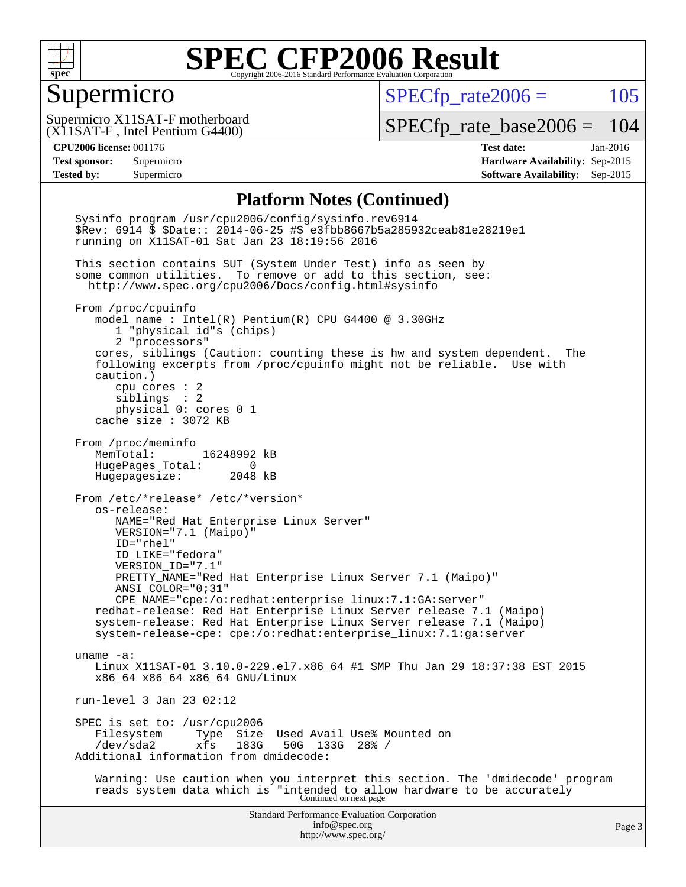

### Supermicro

 $SPECTp_rate2006 = 105$ 

(X11SAT-F , Intel Pentium G4400) Supermicro X11SAT-F motherboard

[SPECfp\\_rate\\_base2006 =](http://www.spec.org/auto/cpu2006/Docs/result-fields.html#SPECfpratebase2006) 104

**[CPU2006 license:](http://www.spec.org/auto/cpu2006/Docs/result-fields.html#CPU2006license)** 001176 **[Test date:](http://www.spec.org/auto/cpu2006/Docs/result-fields.html#Testdate)** Jan-2016 **[Test sponsor:](http://www.spec.org/auto/cpu2006/Docs/result-fields.html#Testsponsor)** Supermicro **[Hardware Availability:](http://www.spec.org/auto/cpu2006/Docs/result-fields.html#HardwareAvailability)** Sep-2015 **[Tested by:](http://www.spec.org/auto/cpu2006/Docs/result-fields.html#Testedby)** Supermicro **Supermicro [Software Availability:](http://www.spec.org/auto/cpu2006/Docs/result-fields.html#SoftwareAvailability)** Sep-2015

#### **[Platform Notes \(Continued\)](http://www.spec.org/auto/cpu2006/Docs/result-fields.html#PlatformNotes)**

Standard Performance Evaluation Corporation [info@spec.org](mailto:info@spec.org) <http://www.spec.org/> Page 3 Sysinfo program /usr/cpu2006/config/sysinfo.rev6914 \$Rev: 6914 \$ \$Date:: 2014-06-25 #\$ e3fbb8667b5a285932ceab81e28219e1 running on X11SAT-01 Sat Jan 23 18:19:56 2016 This section contains SUT (System Under Test) info as seen by some common utilities. To remove or add to this section, see: <http://www.spec.org/cpu2006/Docs/config.html#sysinfo> From /proc/cpuinfo model name : Intel(R) Pentium(R) CPU G4400 @ 3.30GHz 1 "physical id"s (chips) 2 "processors" cores, siblings (Caution: counting these is hw and system dependent. The following excerpts from /proc/cpuinfo might not be reliable. Use with caution.) cpu cores : 2 siblings : 2 physical 0: cores 0 1 cache size : 3072 KB From /proc/meminfo MemTotal: 16248992 kB HugePages\_Total: 0 Hugepagesize: 2048 kB From /etc/\*release\* /etc/\*version\* os-release: NAME="Red Hat Enterprise Linux Server" VERSION="7.1 (Maipo)" ID="rhel" ID\_LIKE="fedora" VERSION\_ID="7.1" PRETTY\_NAME="Red Hat Enterprise Linux Server 7.1 (Maipo)" ANSI\_COLOR="0;31" CPE\_NAME="cpe:/o:redhat:enterprise\_linux:7.1:GA:server" redhat-release: Red Hat Enterprise Linux Server release 7.1 (Maipo) system-release: Red Hat Enterprise Linux Server release 7.1 (Maipo) system-release-cpe: cpe:/o:redhat:enterprise\_linux:7.1:ga:server uname -a: Linux X11SAT-01 3.10.0-229.el7.x86\_64 #1 SMP Thu Jan 29 18:37:38 EST 2015 x86\_64 x86\_64 x86\_64 GNU/Linux run-level 3 Jan 23 02:12 SPEC is set to: /usr/cpu2006<br>Filesystem Type Size Filesystem Type Size Used Avail Use% Mounted on<br>/dev/sda2 xfs 183G 50G 133G 28% / /dev/sda2 xfs 183G 50G 133G 28% / Additional information from dmidecode: Warning: Use caution when you interpret this section. The 'dmidecode' program reads system data which is "intended to allow hardware to be accurately Continued on next page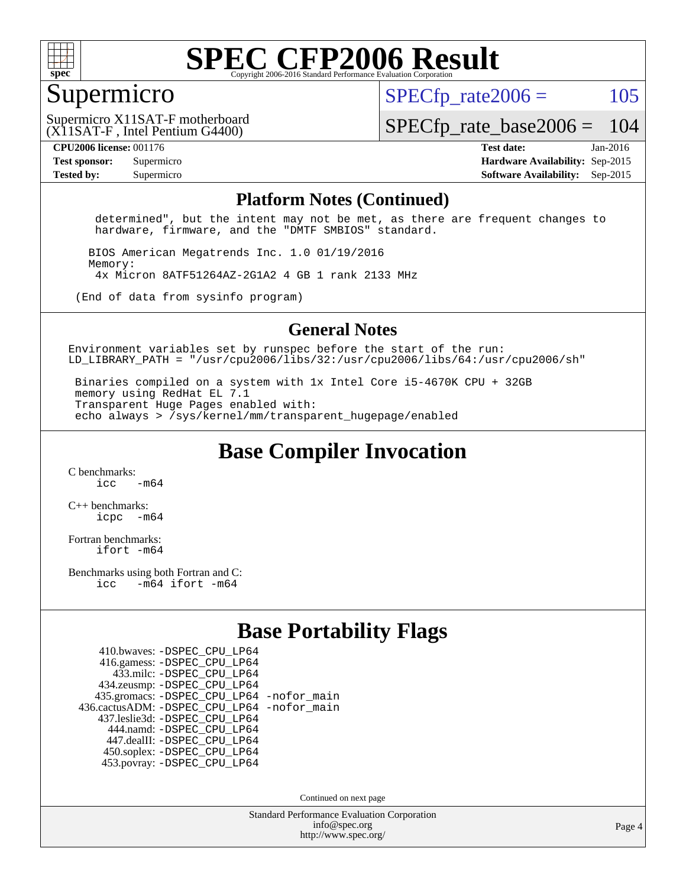

### Supermicro

 $SPECTp\_rate2006 = 105$ 

(X11SAT-F , Intel Pentium G4400) Supermicro X11SAT-F motherboard

[SPECfp\\_rate\\_base2006 =](http://www.spec.org/auto/cpu2006/Docs/result-fields.html#SPECfpratebase2006) 104

**[CPU2006 license:](http://www.spec.org/auto/cpu2006/Docs/result-fields.html#CPU2006license)** 001176 **[Test date:](http://www.spec.org/auto/cpu2006/Docs/result-fields.html#Testdate)** Jan-2016 **[Test sponsor:](http://www.spec.org/auto/cpu2006/Docs/result-fields.html#Testsponsor)** Supermicro **[Hardware Availability:](http://www.spec.org/auto/cpu2006/Docs/result-fields.html#HardwareAvailability)** Sep-2015 **[Tested by:](http://www.spec.org/auto/cpu2006/Docs/result-fields.html#Testedby)** Supermicro **Supermicro [Software Availability:](http://www.spec.org/auto/cpu2006/Docs/result-fields.html#SoftwareAvailability)** Sep-2015

#### **[Platform Notes \(Continued\)](http://www.spec.org/auto/cpu2006/Docs/result-fields.html#PlatformNotes)**

 determined", but the intent may not be met, as there are frequent changes to hardware, firmware, and the "DMTF SMBIOS" standard.

 BIOS American Megatrends Inc. 1.0 01/19/2016 Memory: 4x Micron 8ATF51264AZ-2G1A2 4 GB 1 rank 2133 MHz

(End of data from sysinfo program)

#### **[General Notes](http://www.spec.org/auto/cpu2006/Docs/result-fields.html#GeneralNotes)**

Environment variables set by runspec before the start of the run: LD LIBRARY PATH = "/usr/cpu2006/libs/32:/usr/cpu2006/libs/64:/usr/cpu2006/sh"

 Binaries compiled on a system with 1x Intel Core i5-4670K CPU + 32GB memory using RedHat EL 7.1 Transparent Huge Pages enabled with: echo always > /sys/kernel/mm/transparent\_hugepage/enabled

**[Base Compiler Invocation](http://www.spec.org/auto/cpu2006/Docs/result-fields.html#BaseCompilerInvocation)**

[C benchmarks](http://www.spec.org/auto/cpu2006/Docs/result-fields.html#Cbenchmarks):  $\frac{1}{2}$  cc  $-$  m64

[C++ benchmarks:](http://www.spec.org/auto/cpu2006/Docs/result-fields.html#CXXbenchmarks) [icpc -m64](http://www.spec.org/cpu2006/results/res2016q1/cpu2006-20160125-38766.flags.html#user_CXXbase_intel_icpc_64bit_bedb90c1146cab66620883ef4f41a67e)

[Fortran benchmarks](http://www.spec.org/auto/cpu2006/Docs/result-fields.html#Fortranbenchmarks): [ifort -m64](http://www.spec.org/cpu2006/results/res2016q1/cpu2006-20160125-38766.flags.html#user_FCbase_intel_ifort_64bit_ee9d0fb25645d0210d97eb0527dcc06e)

[Benchmarks using both Fortran and C](http://www.spec.org/auto/cpu2006/Docs/result-fields.html#BenchmarksusingbothFortranandC): [icc -m64](http://www.spec.org/cpu2006/results/res2016q1/cpu2006-20160125-38766.flags.html#user_CC_FCbase_intel_icc_64bit_0b7121f5ab7cfabee23d88897260401c) [ifort -m64](http://www.spec.org/cpu2006/results/res2016q1/cpu2006-20160125-38766.flags.html#user_CC_FCbase_intel_ifort_64bit_ee9d0fb25645d0210d97eb0527dcc06e)

### **[Base Portability Flags](http://www.spec.org/auto/cpu2006/Docs/result-fields.html#BasePortabilityFlags)**

| 410.bwaves: - DSPEC CPU LP64                 |  |
|----------------------------------------------|--|
| 416.gamess: -DSPEC_CPU_LP64                  |  |
| 433.milc: -DSPEC CPU LP64                    |  |
| 434.zeusmp: -DSPEC_CPU_LP64                  |  |
| 435.gromacs: -DSPEC_CPU_LP64 -nofor_main     |  |
| 436.cactusADM: - DSPEC CPU LP64 - nofor main |  |
| 437.leslie3d: -DSPEC_CPU_LP64                |  |
| 444.namd: - DSPEC CPU LP64                   |  |
| 447.dealII: -DSPEC CPU LP64                  |  |
| 450.soplex: -DSPEC_CPU_LP64                  |  |
| 453.povray: -DSPEC CPU LP64                  |  |

Continued on next page

Standard Performance Evaluation Corporation [info@spec.org](mailto:info@spec.org) <http://www.spec.org/>

Page 4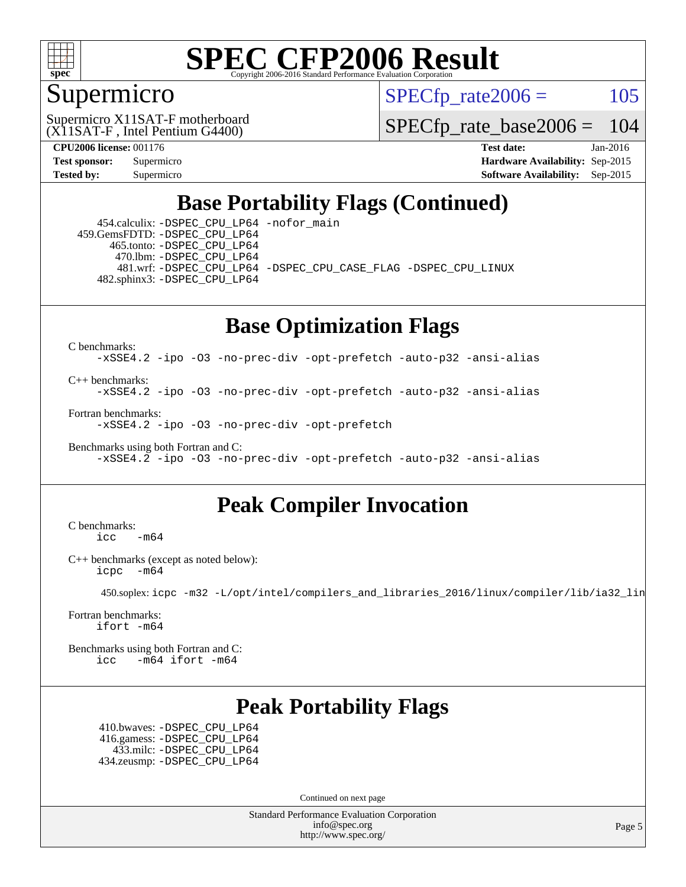

### Supermicro

 $SPECTp\_rate2006 = 105$ 

(X11SAT-F , Intel Pentium G4400) Supermicro X11SAT-F motherboard

[SPECfp\\_rate\\_base2006 =](http://www.spec.org/auto/cpu2006/Docs/result-fields.html#SPECfpratebase2006) 104

**[CPU2006 license:](http://www.spec.org/auto/cpu2006/Docs/result-fields.html#CPU2006license)** 001176 **[Test date:](http://www.spec.org/auto/cpu2006/Docs/result-fields.html#Testdate)** Jan-2016 **[Test sponsor:](http://www.spec.org/auto/cpu2006/Docs/result-fields.html#Testsponsor)** Supermicro **[Hardware Availability:](http://www.spec.org/auto/cpu2006/Docs/result-fields.html#HardwareAvailability)** Sep-2015 **[Tested by:](http://www.spec.org/auto/cpu2006/Docs/result-fields.html#Testedby)** Supermicro **Supermicro [Software Availability:](http://www.spec.org/auto/cpu2006/Docs/result-fields.html#SoftwareAvailability)** Sep-2015

### **[Base Portability Flags \(Continued\)](http://www.spec.org/auto/cpu2006/Docs/result-fields.html#BasePortabilityFlags)**

 454.calculix: [-DSPEC\\_CPU\\_LP64](http://www.spec.org/cpu2006/results/res2016q1/cpu2006-20160125-38766.flags.html#suite_basePORTABILITY454_calculix_DSPEC_CPU_LP64) [-nofor\\_main](http://www.spec.org/cpu2006/results/res2016q1/cpu2006-20160125-38766.flags.html#user_baseLDPORTABILITY454_calculix_f-nofor_main) 459.GemsFDTD: [-DSPEC\\_CPU\\_LP64](http://www.spec.org/cpu2006/results/res2016q1/cpu2006-20160125-38766.flags.html#suite_basePORTABILITY459_GemsFDTD_DSPEC_CPU_LP64) 465.tonto: [-DSPEC\\_CPU\\_LP64](http://www.spec.org/cpu2006/results/res2016q1/cpu2006-20160125-38766.flags.html#suite_basePORTABILITY465_tonto_DSPEC_CPU_LP64) 470.lbm: [-DSPEC\\_CPU\\_LP64](http://www.spec.org/cpu2006/results/res2016q1/cpu2006-20160125-38766.flags.html#suite_basePORTABILITY470_lbm_DSPEC_CPU_LP64) 481.wrf: [-DSPEC\\_CPU\\_LP64](http://www.spec.org/cpu2006/results/res2016q1/cpu2006-20160125-38766.flags.html#suite_basePORTABILITY481_wrf_DSPEC_CPU_LP64) [-DSPEC\\_CPU\\_CASE\\_FLAG](http://www.spec.org/cpu2006/results/res2016q1/cpu2006-20160125-38766.flags.html#b481.wrf_baseCPORTABILITY_DSPEC_CPU_CASE_FLAG) [-DSPEC\\_CPU\\_LINUX](http://www.spec.org/cpu2006/results/res2016q1/cpu2006-20160125-38766.flags.html#b481.wrf_baseCPORTABILITY_DSPEC_CPU_LINUX) 482.sphinx3: [-DSPEC\\_CPU\\_LP64](http://www.spec.org/cpu2006/results/res2016q1/cpu2006-20160125-38766.flags.html#suite_basePORTABILITY482_sphinx3_DSPEC_CPU_LP64)

### **[Base Optimization Flags](http://www.spec.org/auto/cpu2006/Docs/result-fields.html#BaseOptimizationFlags)**

[C benchmarks](http://www.spec.org/auto/cpu2006/Docs/result-fields.html#Cbenchmarks):

[-xSSE4.2](http://www.spec.org/cpu2006/results/res2016q1/cpu2006-20160125-38766.flags.html#user_CCbase_f-xSSE42_f91528193cf0b216347adb8b939d4107) [-ipo](http://www.spec.org/cpu2006/results/res2016q1/cpu2006-20160125-38766.flags.html#user_CCbase_f-ipo) [-O3](http://www.spec.org/cpu2006/results/res2016q1/cpu2006-20160125-38766.flags.html#user_CCbase_f-O3) [-no-prec-div](http://www.spec.org/cpu2006/results/res2016q1/cpu2006-20160125-38766.flags.html#user_CCbase_f-no-prec-div) [-opt-prefetch](http://www.spec.org/cpu2006/results/res2016q1/cpu2006-20160125-38766.flags.html#user_CCbase_f-opt-prefetch) [-auto-p32](http://www.spec.org/cpu2006/results/res2016q1/cpu2006-20160125-38766.flags.html#user_CCbase_f-auto-p32) [-ansi-alias](http://www.spec.org/cpu2006/results/res2016q1/cpu2006-20160125-38766.flags.html#user_CCbase_f-ansi-alias)

[C++ benchmarks:](http://www.spec.org/auto/cpu2006/Docs/result-fields.html#CXXbenchmarks)

[-xSSE4.2](http://www.spec.org/cpu2006/results/res2016q1/cpu2006-20160125-38766.flags.html#user_CXXbase_f-xSSE42_f91528193cf0b216347adb8b939d4107) [-ipo](http://www.spec.org/cpu2006/results/res2016q1/cpu2006-20160125-38766.flags.html#user_CXXbase_f-ipo) [-O3](http://www.spec.org/cpu2006/results/res2016q1/cpu2006-20160125-38766.flags.html#user_CXXbase_f-O3) [-no-prec-div](http://www.spec.org/cpu2006/results/res2016q1/cpu2006-20160125-38766.flags.html#user_CXXbase_f-no-prec-div) [-opt-prefetch](http://www.spec.org/cpu2006/results/res2016q1/cpu2006-20160125-38766.flags.html#user_CXXbase_f-opt-prefetch) [-auto-p32](http://www.spec.org/cpu2006/results/res2016q1/cpu2006-20160125-38766.flags.html#user_CXXbase_f-auto-p32) [-ansi-alias](http://www.spec.org/cpu2006/results/res2016q1/cpu2006-20160125-38766.flags.html#user_CXXbase_f-ansi-alias)

[Fortran benchmarks](http://www.spec.org/auto/cpu2006/Docs/result-fields.html#Fortranbenchmarks): [-xSSE4.2](http://www.spec.org/cpu2006/results/res2016q1/cpu2006-20160125-38766.flags.html#user_FCbase_f-xSSE42_f91528193cf0b216347adb8b939d4107) [-ipo](http://www.spec.org/cpu2006/results/res2016q1/cpu2006-20160125-38766.flags.html#user_FCbase_f-ipo) [-O3](http://www.spec.org/cpu2006/results/res2016q1/cpu2006-20160125-38766.flags.html#user_FCbase_f-O3) [-no-prec-div](http://www.spec.org/cpu2006/results/res2016q1/cpu2006-20160125-38766.flags.html#user_FCbase_f-no-prec-div) [-opt-prefetch](http://www.spec.org/cpu2006/results/res2016q1/cpu2006-20160125-38766.flags.html#user_FCbase_f-opt-prefetch)

[Benchmarks using both Fortran and C](http://www.spec.org/auto/cpu2006/Docs/result-fields.html#BenchmarksusingbothFortranandC): [-xSSE4.2](http://www.spec.org/cpu2006/results/res2016q1/cpu2006-20160125-38766.flags.html#user_CC_FCbase_f-xSSE42_f91528193cf0b216347adb8b939d4107) [-ipo](http://www.spec.org/cpu2006/results/res2016q1/cpu2006-20160125-38766.flags.html#user_CC_FCbase_f-ipo) [-O3](http://www.spec.org/cpu2006/results/res2016q1/cpu2006-20160125-38766.flags.html#user_CC_FCbase_f-O3) [-no-prec-div](http://www.spec.org/cpu2006/results/res2016q1/cpu2006-20160125-38766.flags.html#user_CC_FCbase_f-no-prec-div) [-opt-prefetch](http://www.spec.org/cpu2006/results/res2016q1/cpu2006-20160125-38766.flags.html#user_CC_FCbase_f-opt-prefetch) [-auto-p32](http://www.spec.org/cpu2006/results/res2016q1/cpu2006-20160125-38766.flags.html#user_CC_FCbase_f-auto-p32) [-ansi-alias](http://www.spec.org/cpu2006/results/res2016q1/cpu2006-20160125-38766.flags.html#user_CC_FCbase_f-ansi-alias)

### **[Peak Compiler Invocation](http://www.spec.org/auto/cpu2006/Docs/result-fields.html#PeakCompilerInvocation)**

[C benchmarks](http://www.spec.org/auto/cpu2006/Docs/result-fields.html#Cbenchmarks):  $\text{icc}$  -m64

[C++ benchmarks \(except as noted below\):](http://www.spec.org/auto/cpu2006/Docs/result-fields.html#CXXbenchmarksexceptasnotedbelow) [icpc -m64](http://www.spec.org/cpu2006/results/res2016q1/cpu2006-20160125-38766.flags.html#user_CXXpeak_intel_icpc_64bit_bedb90c1146cab66620883ef4f41a67e)

450.soplex: [icpc -m32 -L/opt/intel/compilers\\_and\\_libraries\\_2016/linux/compiler/lib/ia32\\_lin](http://www.spec.org/cpu2006/results/res2016q1/cpu2006-20160125-38766.flags.html#user_peakCXXLD450_soplex_intel_icpc_b4f50a394bdb4597aa5879c16bc3f5c5)

[Fortran benchmarks](http://www.spec.org/auto/cpu2006/Docs/result-fields.html#Fortranbenchmarks): [ifort -m64](http://www.spec.org/cpu2006/results/res2016q1/cpu2006-20160125-38766.flags.html#user_FCpeak_intel_ifort_64bit_ee9d0fb25645d0210d97eb0527dcc06e)

[Benchmarks using both Fortran and C](http://www.spec.org/auto/cpu2006/Docs/result-fields.html#BenchmarksusingbothFortranandC): [icc -m64](http://www.spec.org/cpu2006/results/res2016q1/cpu2006-20160125-38766.flags.html#user_CC_FCpeak_intel_icc_64bit_0b7121f5ab7cfabee23d88897260401c) [ifort -m64](http://www.spec.org/cpu2006/results/res2016q1/cpu2006-20160125-38766.flags.html#user_CC_FCpeak_intel_ifort_64bit_ee9d0fb25645d0210d97eb0527dcc06e)

### **[Peak Portability Flags](http://www.spec.org/auto/cpu2006/Docs/result-fields.html#PeakPortabilityFlags)**

 410.bwaves: [-DSPEC\\_CPU\\_LP64](http://www.spec.org/cpu2006/results/res2016q1/cpu2006-20160125-38766.flags.html#suite_peakPORTABILITY410_bwaves_DSPEC_CPU_LP64) 416.gamess: [-DSPEC\\_CPU\\_LP64](http://www.spec.org/cpu2006/results/res2016q1/cpu2006-20160125-38766.flags.html#suite_peakPORTABILITY416_gamess_DSPEC_CPU_LP64) 433.milc: [-DSPEC\\_CPU\\_LP64](http://www.spec.org/cpu2006/results/res2016q1/cpu2006-20160125-38766.flags.html#suite_peakPORTABILITY433_milc_DSPEC_CPU_LP64) 434.zeusmp: [-DSPEC\\_CPU\\_LP64](http://www.spec.org/cpu2006/results/res2016q1/cpu2006-20160125-38766.flags.html#suite_peakPORTABILITY434_zeusmp_DSPEC_CPU_LP64)

Continued on next page

Standard Performance Evaluation Corporation [info@spec.org](mailto:info@spec.org) <http://www.spec.org/>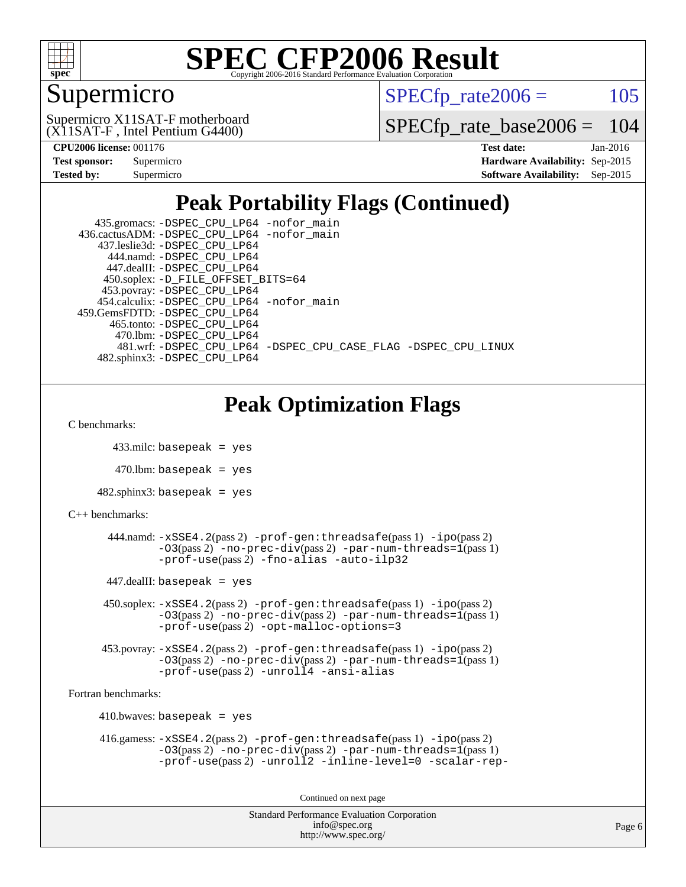

### Supermicro

 $SPECTp\_rate2006 = 105$ 

(X11SAT-F , Intel Pentium G4400) Supermicro X11SAT-F motherboard

[SPECfp\\_rate\\_base2006 =](http://www.spec.org/auto/cpu2006/Docs/result-fields.html#SPECfpratebase2006) 104

| <b>Test sponsor:</b> | Supermicro |
|----------------------|------------|
| <b>Tested by:</b>    | Supermicro |

**[CPU2006 license:](http://www.spec.org/auto/cpu2006/Docs/result-fields.html#CPU2006license)** 001176 **[Test date:](http://www.spec.org/auto/cpu2006/Docs/result-fields.html#Testdate)** Jan-2016 **[Hardware Availability:](http://www.spec.org/auto/cpu2006/Docs/result-fields.html#HardwareAvailability)** Sep-2015 **[Software Availability:](http://www.spec.org/auto/cpu2006/Docs/result-fields.html#SoftwareAvailability)** Sep-2015

### **[Peak Portability Flags \(Continued\)](http://www.spec.org/auto/cpu2006/Docs/result-fields.html#PeakPortabilityFlags)**

| 435.gromacs: -DSPEC_CPU_LP64 -nofor_main                       |
|----------------------------------------------------------------|
| 436.cactusADM: -DSPEC CPU LP64 -nofor main                     |
| 437.leslie3d: -DSPEC CPU LP64                                  |
| 444.namd: - DSPEC CPU LP64                                     |
| 447.dealII: -DSPEC CPU LP64                                    |
| 450.soplex: -D_FILE_OFFSET_BITS=64                             |
| 453.povray: -DSPEC_CPU_LP64                                    |
| 454.calculix: -DSPEC CPU LP64 -nofor main                      |
| 459.GemsFDTD: -DSPEC_CPU_LP64                                  |
| 465.tonto: -DSPEC_CPU_LP64                                     |
| 470.1bm: - DSPEC CPU LP64                                      |
| 481.wrf: -DSPEC CPU_LP64 -DSPEC_CPU_CASE_FLAG -DSPEC_CPU_LINUX |
| 482.sphinx3: -DSPEC CPU LP64                                   |

### **[Peak Optimization Flags](http://www.spec.org/auto/cpu2006/Docs/result-fields.html#PeakOptimizationFlags)**

[C benchmarks](http://www.spec.org/auto/cpu2006/Docs/result-fields.html#Cbenchmarks):

433.milc: basepeak = yes

 $470$ .lbm: basepeak = yes

 $482$ .sphinx3: basepeak = yes

[C++ benchmarks:](http://www.spec.org/auto/cpu2006/Docs/result-fields.html#CXXbenchmarks)

```
 444.namd: -xSSE4.2(pass 2) -prof-gen:threadsafe(pass 1) -ipo(pass 2)
-O3(pass 2) -no-prec-div(pass 2) -par-num-threads=1(pass 1)
-prof-use(pass 2) -fno-alias -auto-ilp32
```
 $447$ .dealII: basepeak = yes

 450.soplex: [-xSSE4.2](http://www.spec.org/cpu2006/results/res2016q1/cpu2006-20160125-38766.flags.html#user_peakPASS2_CXXFLAGSPASS2_LDFLAGS450_soplex_f-xSSE42_f91528193cf0b216347adb8b939d4107)(pass 2) [-prof-gen:threadsafe](http://www.spec.org/cpu2006/results/res2016q1/cpu2006-20160125-38766.flags.html#user_peakPASS1_CXXFLAGSPASS1_LDFLAGS450_soplex_prof_gen_21a26eb79f378b550acd7bec9fe4467a)(pass 1) [-ipo](http://www.spec.org/cpu2006/results/res2016q1/cpu2006-20160125-38766.flags.html#user_peakPASS2_CXXFLAGSPASS2_LDFLAGS450_soplex_f-ipo)(pass 2) [-O3](http://www.spec.org/cpu2006/results/res2016q1/cpu2006-20160125-38766.flags.html#user_peakPASS2_CXXFLAGSPASS2_LDFLAGS450_soplex_f-O3)(pass 2) [-no-prec-div](http://www.spec.org/cpu2006/results/res2016q1/cpu2006-20160125-38766.flags.html#user_peakPASS2_CXXFLAGSPASS2_LDFLAGS450_soplex_f-no-prec-div)(pass 2) [-par-num-threads=1](http://www.spec.org/cpu2006/results/res2016q1/cpu2006-20160125-38766.flags.html#user_peakPASS1_CXXFLAGSPASS1_LDFLAGS450_soplex_par_num_threads_786a6ff141b4e9e90432e998842df6c2)(pass 1) [-prof-use](http://www.spec.org/cpu2006/results/res2016q1/cpu2006-20160125-38766.flags.html#user_peakPASS2_CXXFLAGSPASS2_LDFLAGS450_soplex_prof_use_bccf7792157ff70d64e32fe3e1250b55)(pass 2) [-opt-malloc-options=3](http://www.spec.org/cpu2006/results/res2016q1/cpu2006-20160125-38766.flags.html#user_peakOPTIMIZE450_soplex_f-opt-malloc-options_13ab9b803cf986b4ee62f0a5998c2238)

```
 453.povray: -xSSE4.2(pass 2) -prof-gen:threadsafe(pass 1) -ipo(pass 2)
-03(pass 2) --par-num-threads=1(pass 1)
-prof-use(pass 2) -unroll4 -ansi-alias
```
[Fortran benchmarks](http://www.spec.org/auto/cpu2006/Docs/result-fields.html#Fortranbenchmarks):

```
410.bwaves: basepeak = yes 416.gamess: -xSSE4.2(pass 2) -prof-gen:threadsafe(pass 1) -ipo(pass 2)
  -O3(pass 2) -no-prec-div(pass 2) -par-num-threads=1(pass 1)
  -prof-use(pass 2) -unroll2 -inline-level=0 -scalar-rep-
```
Continued on next page

```
Standard Performance Evaluation Corporation
     info@spec.org
   http://www.spec.org/
```